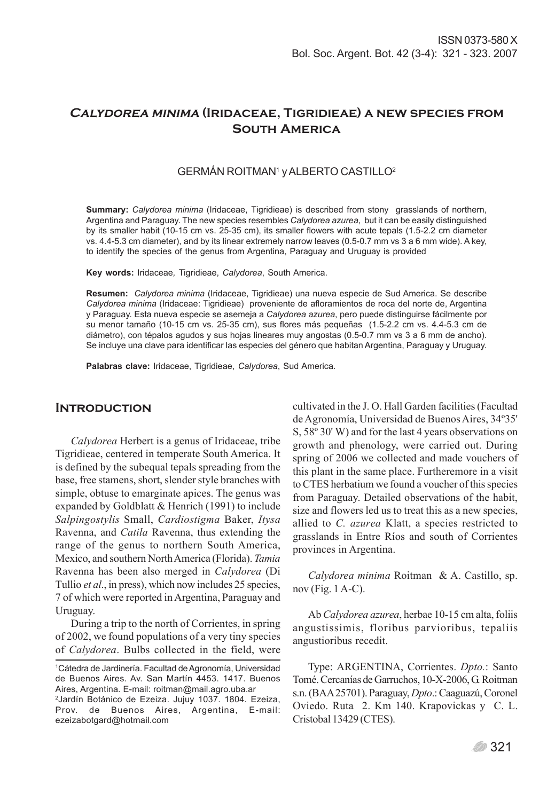# **Calydorea minima (Iridaceae, Tigridieae) a new species from South America**

# GERMÁN ROITMAN1 y ALBERTO CASTILLO2

**Summary:** *Calydorea minima* (Iridaceae, Tigridieae) is described from stony grasslands of northern, Argentina and Paraguay. The new species resembles *Calydorea azurea*, but it can be easily distinguished by its smaller habit (10-15 cm vs. 25-35 cm), its smaller flowers with acute tepals (1.5-2.2 cm diameter vs. 4.4-5.3 cm diameter), and by its linear extremely narrow leaves (0.5-0.7 mm vs 3 a 6 mm wide). A key, to identify the species of the genus from Argentina, Paraguay and Uruguay is provided

**Key words:** Iridaceae*,* Tigridieae, *Calydorea*, South America.

**Resumen:** *Calydorea minima* (Iridaceae, Tigridieae) una nueva especie de Sud America. Se describe *Calydorea minima* (Iridaceae: Tigridieae) proveniente de afloramientos de roca del norte de, Argentina y Paraguay. Esta nueva especie se asemeja a *Calydorea azurea*, pero puede distinguirse fácilmente por su menor tamaño (10-15 cm vs. 25-35 cm), sus flores más pequeñas (1.5-2.2 cm vs. 4.4-5.3 cm de diámetro), con tépalos agudos y sus hojas lineares muy angostas (0.5-0.7 mm vs 3 a 6 mm de ancho). Se incluye una clave para identificar las especies del género que habitan Argentina, Paraguay y Uruguay.

**Palabras clave:** Iridaceae, Tigridieae, *Calydorea*, Sud America.

### **Introduction**

*Calydorea* Herbert is a genus of Iridaceae, tribe Tigridieae, centered in temperate South America. It is defined by the subequal tepals spreading from the base, free stamens, short, slender style branches with simple, obtuse to emarginate apices. The genus was expanded by Goldblatt & Henrich (1991) to include *Salpingostylis* Small, *Cardiostigma* Baker, *Itysa* Ravenna, and *Catila* Ravenna, thus extending the range of the genus to northern South America, Mexico, and southern North America (Florida). *Tamia* Ravenna has been also merged in *Calydorea* (Di Tullio *et al*., in press), which now includes 25 species, 7 of which were reported in Argentina, Paraguay and Uruguay.

During a trip to the north of Corrientes, in spring of 2002, we found populations of a very tiny species of *Calydorea*. Bulbs collected in the field, were cultivated in the J. O. Hall Garden facilities (Facultad de Agronomía, Universidad de Buenos Aires, 34º35' S, 58º 30' W) and for the last 4 years observations on growth and phenology, were carried out. During spring of 2006 we collected and made vouchers of this plant in the same place. Furtheremore in a visit to CTES herbatium we found a voucher of this species from Paraguay. Detailed observations of the habit, size and flowers led us to treat this as a new species, allied to *C. azurea* Klatt, a species restricted to grasslands in Entre Ríos and south of Corrientes provinces in Argentina.

*Calydorea minima* Roitman & A. Castillo, sp. nov (Fig. 1 A-C).

Ab *Calydorea azurea*, herbae 10-15 cm alta, foliis angustissimis, floribus parvioribus, tepaliis angustioribus recedit.

Type: ARGENTINA, Corrientes. *Dpto.*: Santo Tomé. Cercanías de Garruchos, 10-X-2006, G. Roitman s.n. (BAA 25701). Paraguay, *Dpto*.: Caaguazú, Coronel Oviedo. Ruta 2. Km 140. Krapovickas y C. L. Cristobal 13429 (CTES).

<sup>1</sup> Cátedra de Jardinería. Facultad de Agronomía, Universidad de Buenos Aires. Av. San Martín 4453. 1417. Buenos Aires, Argentina. E-mail: roitman@mail.agro.uba.ar

<sup>2</sup> Jardín Botánico de Ezeiza. Jujuy 1037. 1804. Ezeiza, Prov. de Buenos Aires, Argentina, E-mail: ezeizabotgard@hotmail.com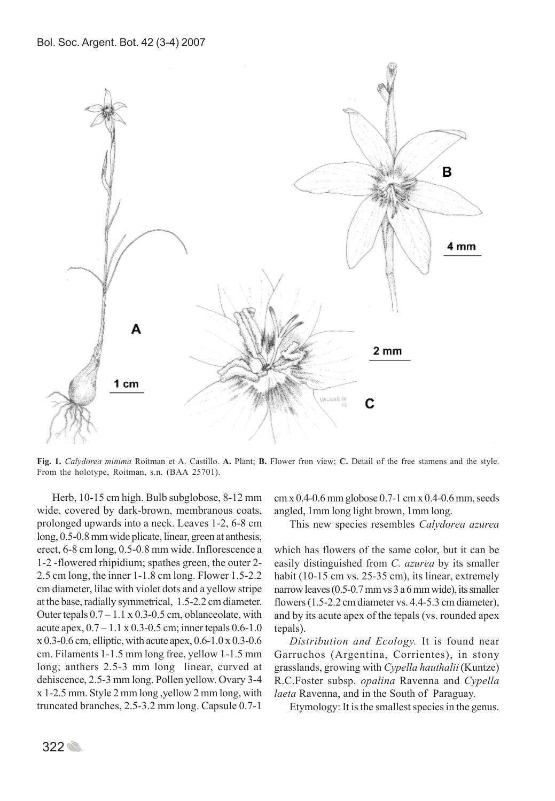

**Fig. 1.** *Calydorea minima* Roitman et A. Castillo. **A.** Plant; **B.** Flower fron view; **C.** Detail of the free stamens and the style. From the holotype, Roitman, s.n. (BAA 25701).

Herb, 10-15 cm high. Bulb subglobose, 8-12 mm wide, covered by dark-brown, membranous coats, prolonged upwards into a neck. Leaves 1-2, 6-8 cm long, 0.5-0.8 mm wide plicate, linear, green at anthesis, erect, 6-8 cm long, 0.5-0.8 mm wide. Inflorescence a 1-2 -flowered rhipidium; spathes green, the outer 2- 2.5 cm long, the inner 1-1.8 cm long. Flower 1.5-2.2 cm diameter, lilac with violet dots and a yellow stripe at the base, radially symmetrical, 1.5-2.2 cm diameter. Outer tepals  $0.7 - 1.1 \times 0.3 - 0.5$  cm, oblanceolate, with acute apex,  $0.7 - 1.1 \times 0.3 - 0.5$  cm; inner tepals  $0.6 - 1.0$ x 0.3-0.6 cm, elliptic, with acute apex, 0.6-1.0 x 0.3-0.6 cm. Filaments 1-1.5 mm long free, yellow 1-1.5 mm long; anthers 2.5-3 mm long linear, curved at dehiscence, 2.5-3 mm long. Pollen yellow. Ovary 3-4 x 1-2.5 mm. Style 2 mm long ,yellow 2 mm long, with truncated branches, 2.5-3.2 mm long. Capsule 0.7-1

cm x 0.4-0.6 mm globose 0.7-1 cm x 0.4-0.6 mm, seeds angled, 1mm long light brown, 1mm long.

This new species resembles *Calydorea azurea*

which has flowers of the same color, but it can be easily distinguished from *C. azurea* by its smaller habit (10-15 cm vs. 25-35 cm), its linear, extremely narrow leaves (0.5-0.7 mm vs 3 a 6 mm wide), its smaller flowers (1.5-2.2 cm diameter vs. 4.4-5.3 cm diameter), and by its acute apex of the tepals (vs. rounded apex tepals).

*Distribution and Ecology.* It is found near Garruchos (Argentina, Corrientes), in stony grasslands, growing with *Cypella hauthalii* (Kuntze) R.C.Foster subsp. *opalina* Ravenna and *Cypella laeta* Ravenna, and in the South of Paraguay.

Etymology: It is the smallest species in the genus.